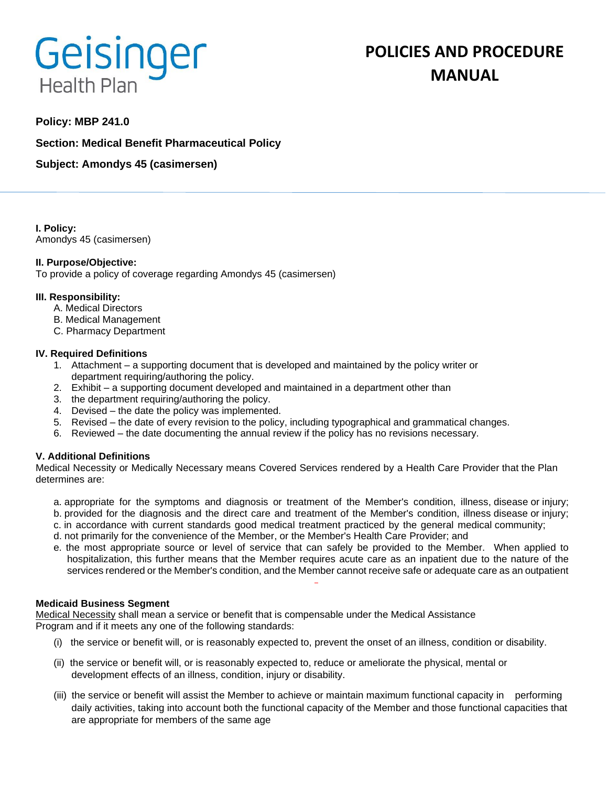# Geisinger **Health Plan**

# **POLICIES AND PROCEDURE MANUAL**

# **Policy: MBP 241.0**

**Section: Medical Benefit Pharmaceutical Policy**

**Subject: Amondys 45 (casimersen)**

**I. Policy:** Amondys 45 (casimersen)

#### **II. Purpose/Objective:**

To provide a policy of coverage regarding Amondys 45 (casimersen)

#### **III. Responsibility:**

- A. Medical Directors
- B. Medical Management
- C. Pharmacy Department

#### **IV. Required Definitions**

- 1. Attachment a supporting document that is developed and maintained by the policy writer or department requiring/authoring the policy.
- 2. Exhibit a supporting document developed and maintained in a department other than
- 3. the department requiring/authoring the policy.
- 4. Devised the date the policy was implemented.
- 5. Revised the date of every revision to the policy, including typographical and grammatical changes.
- 6. Reviewed the date documenting the annual review if the policy has no revisions necessary.

#### **V. Additional Definitions**

Medical Necessity or Medically Necessary means Covered Services rendered by a Health Care Provider that the Plan determines are:

- a. appropriate for the symptoms and diagnosis or treatment of the Member's condition, illness, disease or injury; b. provided for the diagnosis and the direct care and treatment of the Member's condition, illness disease or injury;
- c. in accordance with current standards good medical treatment practiced by the general medical community;
- d. not primarily for the convenience of the Member, or the Member's Health Care Provider; and
- e. the most appropriate source or level of service that can safely be provided to the Member. When applied to hospitalization, this further means that the Member requires acute care as an inpatient due to the nature of the services rendered or the Member's condition, and the Member cannot receive safe or adequate care as an outpatient

#### **Medicaid Business Segment**

Medical Necessity shall mean a service or benefit that is compensable under the Medical Assistance Program and if it meets any one of the following standards:

- (i) the service or benefit will, or is reasonably expected to, prevent the onset of an illness, condition or disability.
- (ii) the service or benefit will, or is reasonably expected to, reduce or ameliorate the physical, mental or development effects of an illness, condition, injury or disability.
- (iii) the service or benefit will assist the Member to achieve or maintain maximum functional capacity in performing daily activities, taking into account both the functional capacity of the Member and those functional capacities that are appropriate for members of the same age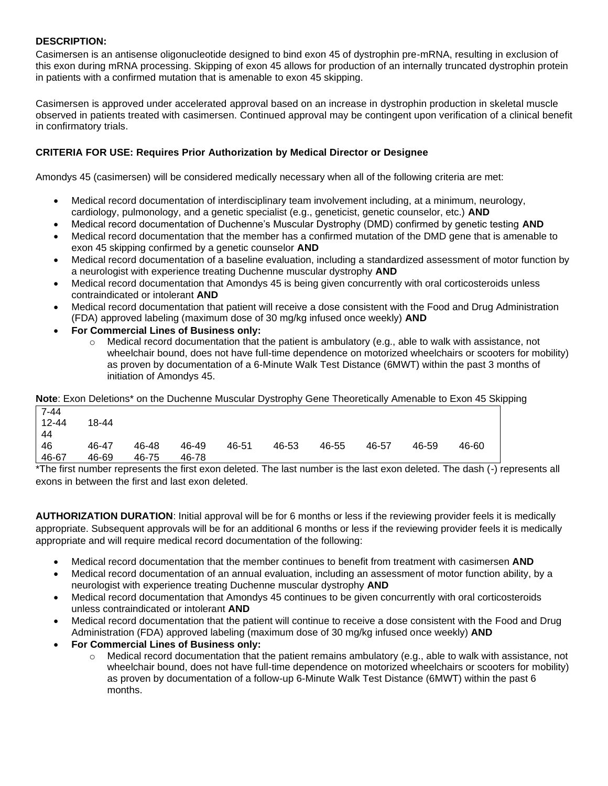## **DESCRIPTION:**

Casimersen is an antisense oligonucleotide designed to bind exon 45 of dystrophin pre-mRNA, resulting in exclusion of this exon during mRNA processing. Skipping of exon 45 allows for production of an internally truncated dystrophin protein in patients with a confirmed mutation that is amenable to exon 45 skipping.

Casimersen is approved under accelerated approval based on an increase in dystrophin production in skeletal muscle observed in patients treated with casimersen. Continued approval may be contingent upon verification of a clinical benefit in confirmatory trials.

## **CRITERIA FOR USE: Requires Prior Authorization by Medical Director or Designee**

Amondys 45 (casimersen) will be considered medically necessary when all of the following criteria are met:

- Medical record documentation of interdisciplinary team involvement including, at a minimum, neurology, cardiology, pulmonology, and a genetic specialist (e.g., geneticist, genetic counselor, etc.) **AND**
- Medical record documentation of Duchenne's Muscular Dystrophy (DMD) confirmed by genetic testing **AND**
- Medical record documentation that the member has a confirmed mutation of the DMD gene that is amenable to exon 45 skipping confirmed by a genetic counselor **AND**
- Medical record documentation of a baseline evaluation, including a standardized assessment of motor function by a neurologist with experience treating Duchenne muscular dystrophy **AND**
- Medical record documentation that Amondys 45 is being given concurrently with oral corticosteroids unless contraindicated or intolerant **AND**
- Medical record documentation that patient will receive a dose consistent with the Food and Drug Administration (FDA) approved labeling (maximum dose of 30 mg/kg infused once weekly) **AND**
- **For Commercial Lines of Business only:**
	- $\circ$  Medical record documentation that the patient is ambulatory (e.g., able to walk with assistance, not wheelchair bound, does not have full-time dependence on motorized wheelchairs or scooters for mobility) as proven by documentation of a 6-Minute Walk Test Distance (6MWT) within the past 3 months of initiation of Amondys 45.

**Note**: Exon Deletions\* on the Duchenne Muscular Dystrophy Gene Theoretically Amenable to Exon 45 Skipping

| 7-44      |       |       |       |       |       |       |       |       |       |
|-----------|-------|-------|-------|-------|-------|-------|-------|-------|-------|
| $12 - 44$ | 18-44 |       |       |       |       |       |       |       |       |
| 44        |       |       |       |       |       |       |       |       |       |
| 46        | 46-47 | 46-48 | 46-49 | 46-51 | 46-53 | 46-55 | 46-57 | 46-59 | 46-60 |
| 46-67     | 46-69 | 46-75 | 46-78 |       |       |       |       |       |       |

\*The first number represents the first exon deleted. The last number is the last exon deleted. The dash (-) represents all exons in between the first and last exon deleted.

**AUTHORIZATION DURATION**: Initial approval will be for 6 months or less if the reviewing provider feels it is medically appropriate. Subsequent approvals will be for an additional 6 months or less if the reviewing provider feels it is medically appropriate and will require medical record documentation of the following:

- Medical record documentation that the member continues to benefit from treatment with casimersen **AND**
- Medical record documentation of an annual evaluation, including an assessment of motor function ability, by a neurologist with experience treating Duchenne muscular dystrophy **AND**
- Medical record documentation that Amondys 45 continues to be given concurrently with oral corticosteroids unless contraindicated or intolerant **AND**
- Medical record documentation that the patient will continue to receive a dose consistent with the Food and Drug Administration (FDA) approved labeling (maximum dose of 30 mg/kg infused once weekly) **AND**
- **For Commercial Lines of Business only:**
	- $\circ$  Medical record documentation that the patient remains ambulatory (e.g., able to walk with assistance, not wheelchair bound, does not have full-time dependence on motorized wheelchairs or scooters for mobility) as proven by documentation of a follow-up 6-Minute Walk Test Distance (6MWT) within the past 6 months.